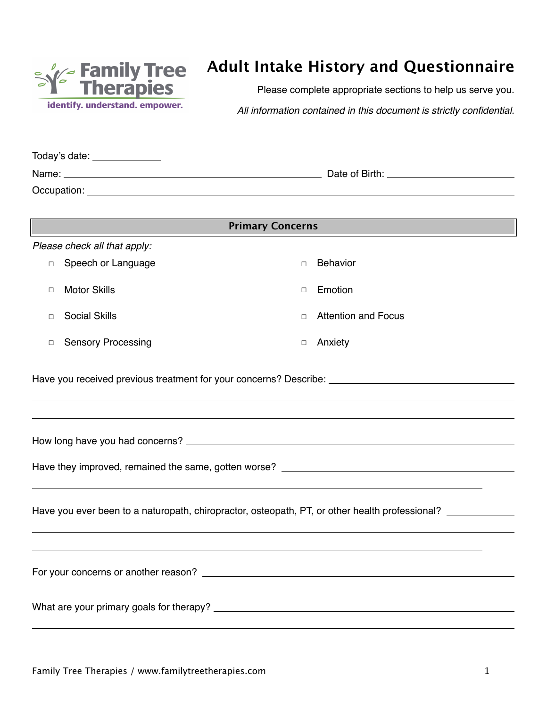

# **Adult Intake History and Questionnaire**

Please complete appropriate sections to help us serve you.

*All information contained in this document is strictly confidential.*

| Today's date: ______________        |                                                                                                      |  |  |  |  |  |
|-------------------------------------|------------------------------------------------------------------------------------------------------|--|--|--|--|--|
|                                     |                                                                                                      |  |  |  |  |  |
|                                     |                                                                                                      |  |  |  |  |  |
|                                     |                                                                                                      |  |  |  |  |  |
|                                     | <b>Primary Concerns</b>                                                                              |  |  |  |  |  |
| Please check all that apply:        |                                                                                                      |  |  |  |  |  |
| Speech or Language<br>$\Box$        | <b>Behavior</b><br>$\Box$                                                                            |  |  |  |  |  |
| <b>Motor Skills</b><br>$\Box$       | Emotion<br>$\Box$                                                                                    |  |  |  |  |  |
| <b>Social Skills</b><br>П           | <b>Attention and Focus</b><br>$\Box$                                                                 |  |  |  |  |  |
| <b>Sensory Processing</b><br>$\Box$ | Anxiety<br>$\Box$                                                                                    |  |  |  |  |  |
|                                     | Have you received previous treatment for your concerns? Describe: __________________________________ |  |  |  |  |  |
|                                     |                                                                                                      |  |  |  |  |  |
|                                     | Have they improved, remained the same, gotten worse? ____________________________                    |  |  |  |  |  |
|                                     | Have you ever been to a naturopath, chiropractor, osteopath, PT, or other health professional?       |  |  |  |  |  |
|                                     |                                                                                                      |  |  |  |  |  |

What are your primary goals for therapy?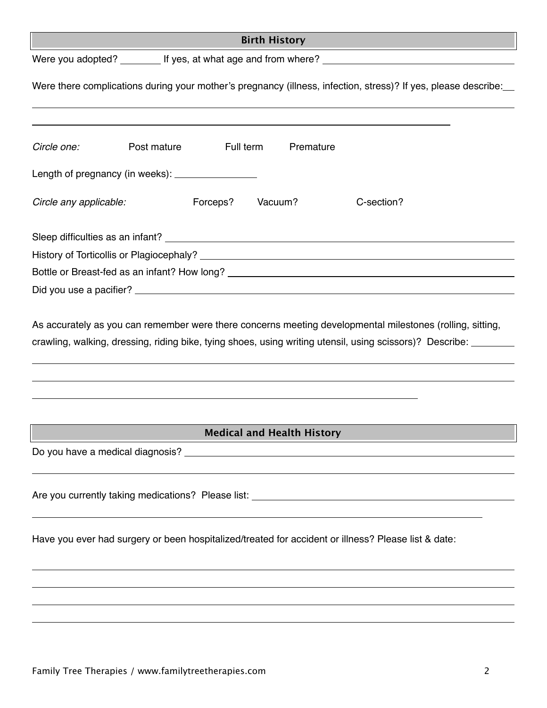|                        | <b>Birth History</b>                                                                                                                                                                                                        |  |  |  |  |  |  |
|------------------------|-----------------------------------------------------------------------------------------------------------------------------------------------------------------------------------------------------------------------------|--|--|--|--|--|--|
|                        |                                                                                                                                                                                                                             |  |  |  |  |  |  |
|                        | Were there complications during your mother's pregnancy (illness, infection, stress)? If yes, please describe:                                                                                                              |  |  |  |  |  |  |
| Circle one:            | Post mature<br>Full term<br>Premature                                                                                                                                                                                       |  |  |  |  |  |  |
|                        | Length of pregnancy (in weeks): __________________                                                                                                                                                                          |  |  |  |  |  |  |
| Circle any applicable: | Forceps?<br>Vacuum?<br>C-section?                                                                                                                                                                                           |  |  |  |  |  |  |
|                        |                                                                                                                                                                                                                             |  |  |  |  |  |  |
|                        |                                                                                                                                                                                                                             |  |  |  |  |  |  |
|                        |                                                                                                                                                                                                                             |  |  |  |  |  |  |
|                        |                                                                                                                                                                                                                             |  |  |  |  |  |  |
|                        | As accurately as you can remember were there concerns meeting developmental milestones (rolling, sitting,<br>crawling, walking, dressing, riding bike, tying shoes, using writing utensil, using scissors)? Describe: _____ |  |  |  |  |  |  |
|                        |                                                                                                                                                                                                                             |  |  |  |  |  |  |
|                        | <b>Medical and Health History</b>                                                                                                                                                                                           |  |  |  |  |  |  |
|                        |                                                                                                                                                                                                                             |  |  |  |  |  |  |
|                        | Are you currently taking medications? Please list: Network and the manufacture of the state of the state of the                                                                                                             |  |  |  |  |  |  |
|                        |                                                                                                                                                                                                                             |  |  |  |  |  |  |

Have you ever had surgery or been hospitalized/treated for accident or illness? Please list & date: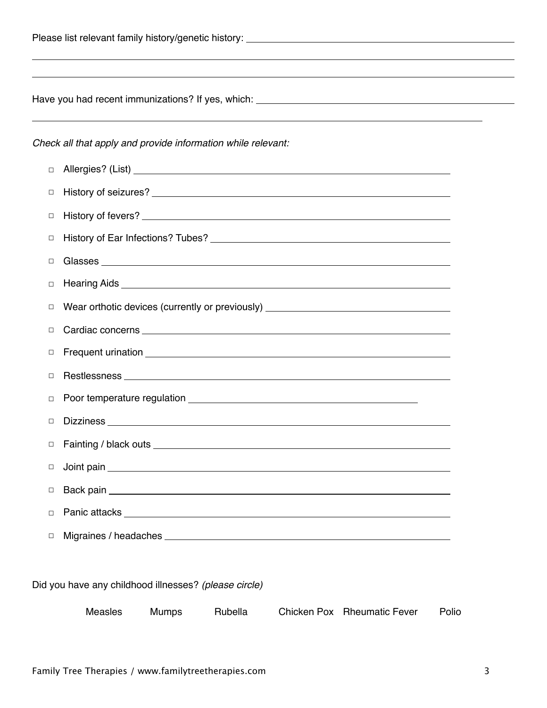|  | Please list relevant family history/genetic history: |  |  |
|--|------------------------------------------------------|--|--|
|  |                                                      |  |  |

Have you had recent immunizations? If yes, which:

*Check all that apply and provide information while relevant:*

| $\Box$ |                                                                                  |
|--------|----------------------------------------------------------------------------------|
| $\Box$ |                                                                                  |
| $\Box$ |                                                                                  |
| $\Box$ |                                                                                  |
| $\Box$ |                                                                                  |
| $\Box$ |                                                                                  |
| $\Box$ | Wear orthotic devices (currently or previously) ________________________________ |
| $\Box$ |                                                                                  |
| $\Box$ |                                                                                  |
| $\Box$ |                                                                                  |
| $\Box$ |                                                                                  |
| $\Box$ |                                                                                  |
| $\Box$ |                                                                                  |
| $\Box$ |                                                                                  |
|        |                                                                                  |
| $\Box$ |                                                                                  |
| $\Box$ |                                                                                  |
| $\Box$ |                                                                                  |

Did you have any childhood illnesses? *(please circle)*

| Measles | Mumps | Rubella | Chicken Pox Rheumatic Fever | Polio |
|---------|-------|---------|-----------------------------|-------|
|         |       |         |                             |       |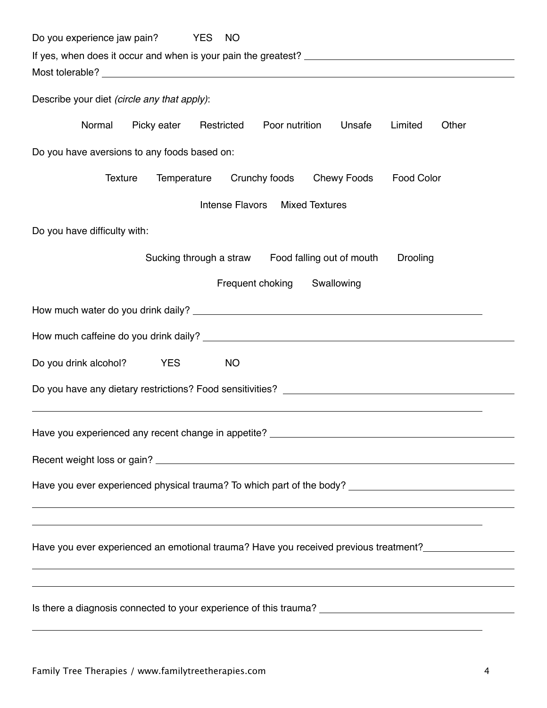| Do you experience jaw pain?<br><b>YES</b><br>NO                                                                                                  |  |  |  |  |  |
|--------------------------------------------------------------------------------------------------------------------------------------------------|--|--|--|--|--|
|                                                                                                                                                  |  |  |  |  |  |
|                                                                                                                                                  |  |  |  |  |  |
| Describe your diet (circle any that apply):                                                                                                      |  |  |  |  |  |
| Normal<br>Picky eater<br>Poor nutrition<br>Unsafe<br>Limited<br>Other<br>Restricted                                                              |  |  |  |  |  |
| Do you have aversions to any foods based on:                                                                                                     |  |  |  |  |  |
| <b>Texture</b><br>Temperature Crunchy foods Chewy Foods<br><b>Food Color</b>                                                                     |  |  |  |  |  |
| Intense Flavors Mixed Textures                                                                                                                   |  |  |  |  |  |
| Do you have difficulty with:                                                                                                                     |  |  |  |  |  |
| Sucking through a straw Food falling out of mouth<br>Drooling                                                                                    |  |  |  |  |  |
| Frequent choking Swallowing                                                                                                                      |  |  |  |  |  |
|                                                                                                                                                  |  |  |  |  |  |
|                                                                                                                                                  |  |  |  |  |  |
| Do you drink alcohol?<br><b>YES</b><br><b>NO</b>                                                                                                 |  |  |  |  |  |
| Do you have any dietary restrictions? Food sensitivities? ______________________                                                                 |  |  |  |  |  |
|                                                                                                                                                  |  |  |  |  |  |
|                                                                                                                                                  |  |  |  |  |  |
|                                                                                                                                                  |  |  |  |  |  |
| ,我们也不会有什么。""我们的人,我们也不会有什么?""我们的人,我们也不会有什么?""我们的人,我们也不会有什么?""我们的人,我们也不会有什么?""我们的人                                                                 |  |  |  |  |  |
| ,我们也不会有什么。""我们的人,我们也不会有什么?""我们的人,我们也不会有什么?""我们的人,我们也不会有什么?""我们的人,我们也不会有什么?""我们的人                                                                 |  |  |  |  |  |
| Have you ever experienced an emotional trauma? Have you received previous treatment?                                                             |  |  |  |  |  |
| <u> 1989 - Johann Stoff, amerikansk politiker (d. 1989)</u><br>,我们也不能会有一个人的事情。""我们的人们是不是我们的人,我们也不能会有一个人的人,我们也不能会有一个人的人,我们也不能会有一个人的人,我们也不能会有一个人的人 |  |  |  |  |  |
|                                                                                                                                                  |  |  |  |  |  |
|                                                                                                                                                  |  |  |  |  |  |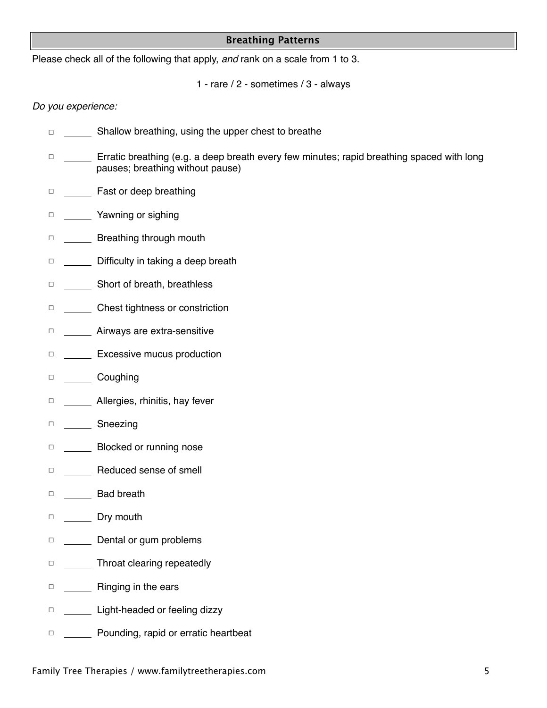## **Breathing Patterns**

Please check all of the following that apply, *and* rank on a scale from 1 to 3.

1 - rare / 2 - sometimes / 3 - always

*Do you experience:*

- □ Shallow breathing, using the upper chest to breathe
- □ \_\_\_\_\_\_ Erratic breathing (e.g. a deep breath every few minutes; rapid breathing spaced with long pauses; breathing without pause)
- □ \_\_\_\_\_\_ Fast or deep breathing
- □ <u>Wawning</u> or sighing
- □ \_\_\_\_\_\_ Breathing through mouth
- □ \_\_\_\_\_\_ Difficulty in taking a deep breath
- □ \_\_\_\_\_\_\_ Short of breath, breathless
- □ Chest tightness or constriction
- □ Airways are extra-sensitive
- □ **Excessive mucus production**
- □ Coughing
- □ \_\_\_\_\_\_\_ Allergies, rhinitis, hay fever
- □ Sneezing
- □ **Blocked or running nose**
- □ Reduced sense of smell
- □ Bad breath
- □ Dry mouth
- □ **\_\_\_\_\_** Dental or gum problems
- □ \_\_\_\_\_\_ Throat clearing repeatedly
- □ Ringing in the ears
- □ Light-headed or feeling dizzy
- □ **Pounding, rapid or erratic heartbeat**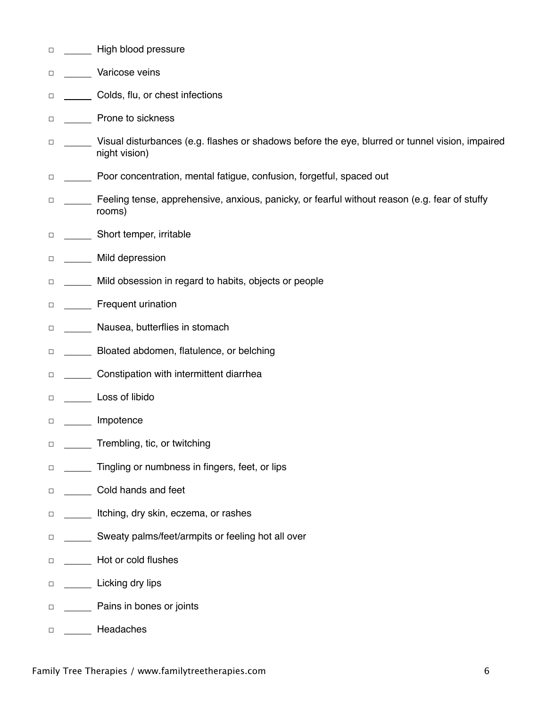- □ High blood pressure
- □ Varicose veins
- □ \_\_\_\_\_\_\_ Colds, flu, or chest infections
- □ Prone to sickness
- □ Visual disturbances (e.g. flashes or shadows before the eye, blurred or tunnel vision, impaired night vision)
- □ Poor concentration, mental fatigue, confusion, forgetful, spaced out
- □ \_\_\_\_\_\_ Feeling tense, apprehensive, anxious, panicky, or fearful without reason (e.g. fear of stuffy rooms)
- □ \_\_\_\_\_ Short temper, irritable
- □ Mild depression
- □ Mild obsession in regard to habits, objects or people
- □ Frequent urination
- □ Nausea, butterflies in stomach
- □ Bloated abdomen, flatulence, or belching
- □ Constipation with intermittent diarrhea
- □ Loss of libido
- □ **Impotence**
- □ Trembling, tic, or twitching
- □ Tingling or numbness in fingers, feet, or lips
- □ **\_\_\_\_\_** Cold hands and feet
- □ Itching, dry skin, eczema, or rashes
- □ Sweaty palms/feet/armpits or feeling hot all over
- □ **\_\_\_\_\_** Hot or cold flushes
- □ <u>\_\_\_\_\_\_</u> Licking dry lips
- □ <u>\_\_</u>\_\_\_\_\_ Pains in bones or joints
- □ Headaches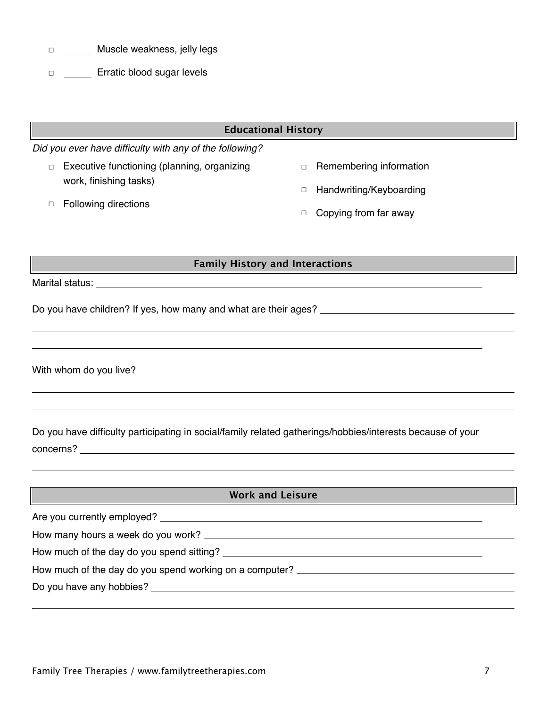| $\Box$ |  |  | Muscle weakness, jelly legs |  |  |
|--------|--|--|-----------------------------|--|--|
|--------|--|--|-----------------------------|--|--|

□ Erratic blood sugar levels

# **Educational History**

*Did you ever have difficulty with any of the following?*

- □ Executive functioning (planning, organizing work, finishing tasks)
- □ Following directions
- □ Remembering information
- □ Handwriting/Keyboarding
- □ Copying from far away

# **Family History and Interactions**

Marital status:

Do you have children? If yes, how many and what are their ages?

With whom do you live?

| Do you have difficulty participating in social/family related gatherings/hobbies/interests because of your |  |
|------------------------------------------------------------------------------------------------------------|--|
| concerns?                                                                                                  |  |

#### **Work and Leisure**

| Are you currently employed?                             |  |
|---------------------------------------------------------|--|
| How many hours a week do you work?                      |  |
| How much of the day do you spend sitting?               |  |
| How much of the day do you spend working on a computer? |  |
| Do you have any hobbies? Do you have any hobbies?       |  |
|                                                         |  |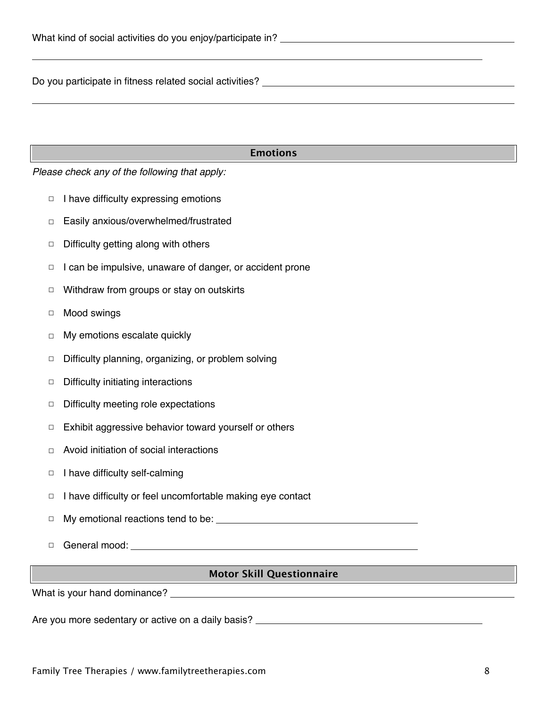Do you participate in fitness related social activities?

#### **Emotions**

*Please check any of the following that apply:*

- □ I have difficulty expressing emotions
- □ Easily anxious/overwhelmed/frustrated
- $\Box$  Difficulty getting along with others
- □ I can be impulsive, unaware of danger, or accident prone
- □ Withdraw from groups or stay on outskirts
- □ Mood swings
- □ My emotions escalate quickly
- □ Difficulty planning, organizing, or problem solving
- □ Difficulty initiating interactions
- □ Difficulty meeting role expectations
- □ Exhibit aggressive behavior toward yourself or others
- □ Avoid initiation of social interactions
- □ I have difficulty self-calming
- □ I have difficulty or feel uncomfortable making eye contact
- □ My emotional reactions tend to be:
- □ General mood: <u>
□ General mood:</u>

## **Motor Skill Questionnaire**

What is your hand dominance?

Are you more sedentary or active on a daily basis?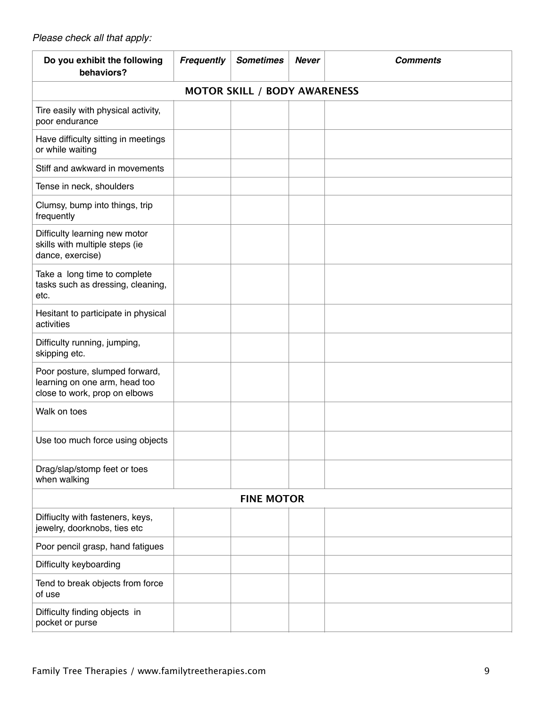# *Please check all that apply:*

| Do you exhibit the following<br>behaviors?                                                       | <b>Frequently</b> | <b>Sometimes</b> | <b>Never</b> | <b>Comments</b> |  |  |
|--------------------------------------------------------------------------------------------------|-------------------|------------------|--------------|-----------------|--|--|
| <b>MOTOR SKILL / BODY AWARENESS</b>                                                              |                   |                  |              |                 |  |  |
| Tire easily with physical activity,<br>poor endurance                                            |                   |                  |              |                 |  |  |
| Have difficulty sitting in meetings<br>or while waiting                                          |                   |                  |              |                 |  |  |
| Stiff and awkward in movements                                                                   |                   |                  |              |                 |  |  |
| Tense in neck, shoulders                                                                         |                   |                  |              |                 |  |  |
| Clumsy, bump into things, trip<br>frequently                                                     |                   |                  |              |                 |  |  |
| Difficulty learning new motor<br>skills with multiple steps (ie<br>dance, exercise)              |                   |                  |              |                 |  |  |
| Take a long time to complete<br>tasks such as dressing, cleaning,<br>etc.                        |                   |                  |              |                 |  |  |
| Hesitant to participate in physical<br>activities                                                |                   |                  |              |                 |  |  |
| Difficulty running, jumping,<br>skipping etc.                                                    |                   |                  |              |                 |  |  |
| Poor posture, slumped forward,<br>learning on one arm, head too<br>close to work, prop on elbows |                   |                  |              |                 |  |  |
| Walk on toes                                                                                     |                   |                  |              |                 |  |  |
| Use too much force using objects                                                                 |                   |                  |              |                 |  |  |
| Drag/slap/stomp feet or toes<br>when walking                                                     |                   |                  |              |                 |  |  |
|                                                                                                  | <b>FINE MOTOR</b> |                  |              |                 |  |  |
| Diffiuclty with fasteners, keys,<br>jewelry, doorknobs, ties etc                                 |                   |                  |              |                 |  |  |
| Poor pencil grasp, hand fatigues                                                                 |                   |                  |              |                 |  |  |
| Difficulty keyboarding                                                                           |                   |                  |              |                 |  |  |
| Tend to break objects from force<br>of use                                                       |                   |                  |              |                 |  |  |
| Difficulty finding objects in<br>pocket or purse                                                 |                   |                  |              |                 |  |  |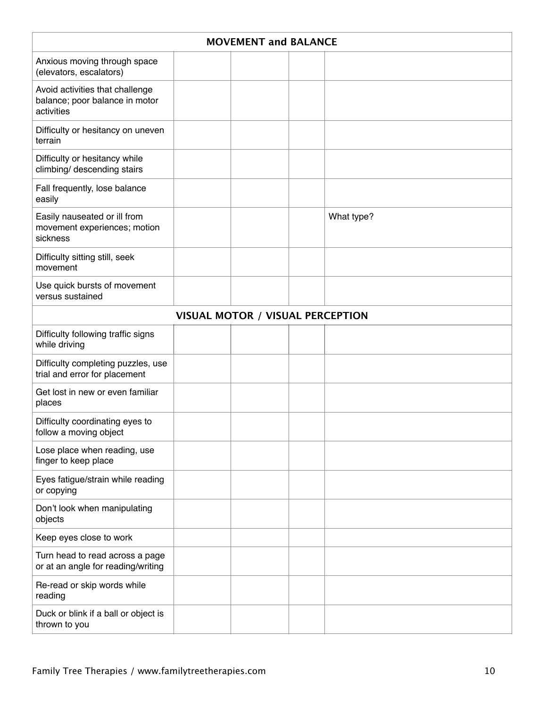| <b>MOVEMENT and BALANCE</b>                                                     |  |                                         |  |            |  |
|---------------------------------------------------------------------------------|--|-----------------------------------------|--|------------|--|
| Anxious moving through space<br>(elevators, escalators)                         |  |                                         |  |            |  |
| Avoid activities that challenge<br>balance; poor balance in motor<br>activities |  |                                         |  |            |  |
| Difficulty or hesitancy on uneven<br>terrain                                    |  |                                         |  |            |  |
| Difficulty or hesitancy while<br>climbing/ descending stairs                    |  |                                         |  |            |  |
| Fall frequently, lose balance<br>easily                                         |  |                                         |  |            |  |
| Easily nauseated or ill from<br>movement experiences; motion<br>sickness        |  |                                         |  | What type? |  |
| Difficulty sitting still, seek<br>movement                                      |  |                                         |  |            |  |
| Use quick bursts of movement<br>versus sustained                                |  |                                         |  |            |  |
|                                                                                 |  | <b>VISUAL MOTOR / VISUAL PERCEPTION</b> |  |            |  |
| Difficulty following traffic signs<br>while driving                             |  |                                         |  |            |  |
| Difficulty completing puzzles, use<br>trial and error for placement             |  |                                         |  |            |  |
| Get lost in new or even familiar<br>places                                      |  |                                         |  |            |  |
| Difficulty coordinating eyes to<br>follow a moving object                       |  |                                         |  |            |  |
| Lose place when reading, use<br>finger to keep place                            |  |                                         |  |            |  |
| Eyes fatigue/strain while reading<br>or copying                                 |  |                                         |  |            |  |
| Don't look when manipulating<br>objects                                         |  |                                         |  |            |  |
| Keep eyes close to work                                                         |  |                                         |  |            |  |
| Turn head to read across a page<br>or at an angle for reading/writing           |  |                                         |  |            |  |
| Re-read or skip words while<br>reading                                          |  |                                         |  |            |  |
| Duck or blink if a ball or object is<br>thrown to you                           |  |                                         |  |            |  |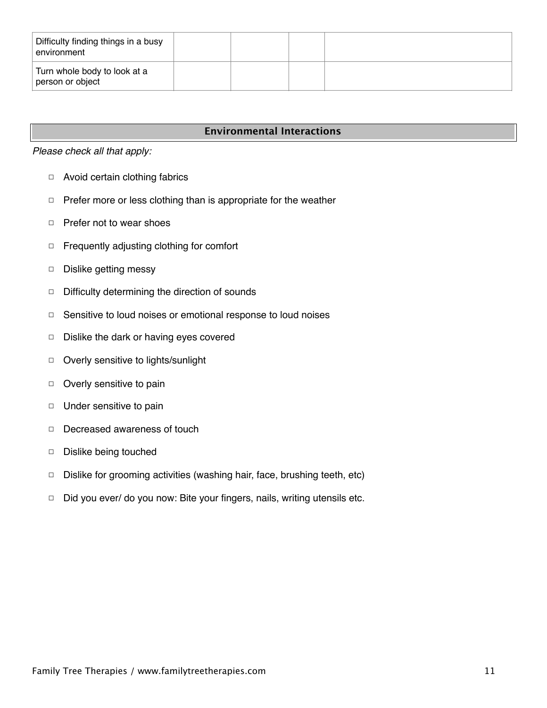| Difficulty finding things in a busy<br>environment |  |  |
|----------------------------------------------------|--|--|
| Turn whole body to look at a<br>person or object   |  |  |

## **Environmental Interactions**

*Please check all that apply:*

- □ Avoid certain clothing fabrics
- □ Prefer more or less clothing than is appropriate for the weather
- □ Prefer not to wear shoes
- □ Frequently adjusting clothing for comfort
- □ Dislike getting messy
- □ Difficulty determining the direction of sounds
- □ Sensitive to loud noises or emotional response to loud noises
- □ Dislike the dark or having eyes covered
- □ Overly sensitive to lights/sunlight
- □ Overly sensitive to pain
- □ Under sensitive to pain
- □ Decreased awareness of touch
- □ Dislike being touched
- □ Dislike for grooming activities (washing hair, face, brushing teeth, etc)
- □ Did you ever/ do you now: Bite your fingers, nails, writing utensils etc.